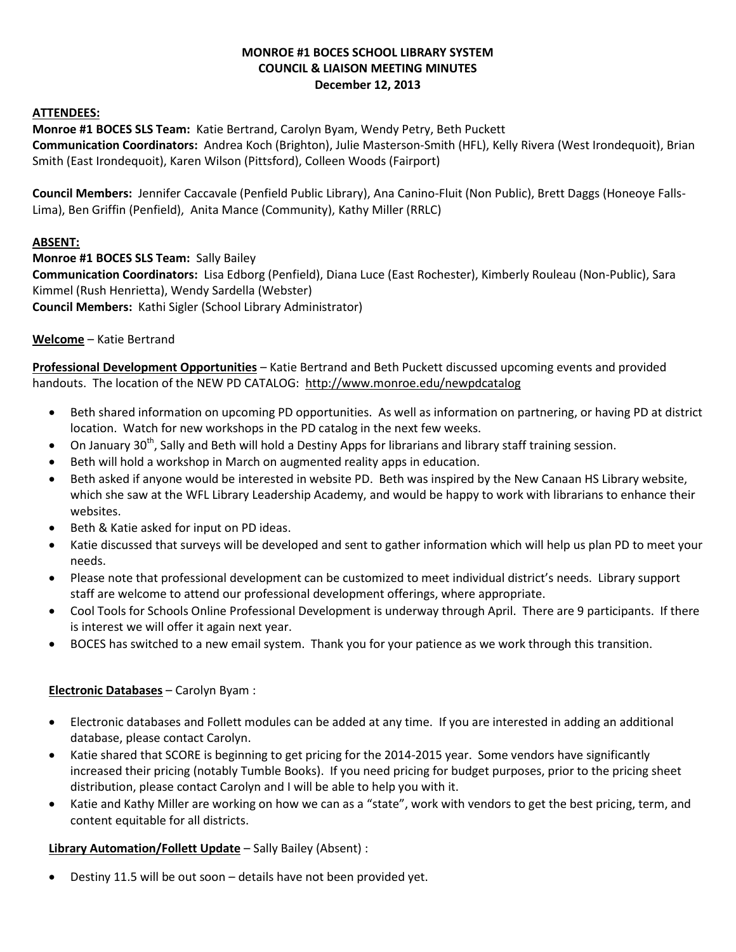## **MONROE #1 BOCES SCHOOL LIBRARY SYSTEM COUNCIL & LIAISON MEETING MINUTES December 12, 2013**

#### **ATTENDEES:**

**Monroe #1 BOCES SLS Team:** Katie Bertrand, Carolyn Byam, Wendy Petry, Beth Puckett **Communication Coordinators:** Andrea Koch (Brighton), Julie Masterson-Smith (HFL), Kelly Rivera (West Irondequoit), Brian Smith (East Irondequoit), Karen Wilson (Pittsford), Colleen Woods (Fairport)

**Council Members:** Jennifer Caccavale (Penfield Public Library), Ana Canino-Fluit (Non Public), Brett Daggs (Honeoye Falls-Lima), Ben Griffin (Penfield), Anita Mance (Community), Kathy Miller (RRLC)

#### **ABSENT:**

**Monroe #1 BOCES SLS Team:** Sally Bailey **Communication Coordinators:** Lisa Edborg (Penfield), Diana Luce (East Rochester), Kimberly Rouleau (Non-Public), Sara Kimmel (Rush Henrietta), Wendy Sardella (Webster) **Council Members:** Kathi Sigler (School Library Administrator)

## **Welcome** – Katie Bertrand

**Professional Development Opportunities** – Katie Bertrand and Beth Puckett discussed upcoming events and provided handouts. The location of the NEW PD CATALOG: <http://www.monroe.edu/newpdcatalog>

- Beth shared information on upcoming PD opportunities. As well as information on partnering, or having PD at district location. Watch for new workshops in the PD catalog in the next few weeks.
- $\bullet$  On January 30<sup>th</sup>, Sally and Beth will hold a Destiny Apps for librarians and library staff training session.
- Beth will hold a workshop in March on augmented reality apps in education.
- Beth asked if anyone would be interested in website PD. Beth was inspired by the New Canaan HS Library website, which she saw at the WFL Library Leadership Academy, and would be happy to work with librarians to enhance their websites.
- Beth & Katie asked for input on PD ideas.
- Katie discussed that surveys will be developed and sent to gather information which will help us plan PD to meet your needs.
- Please note that professional development can be customized to meet individual district's needs. Library support staff are welcome to attend our professional development offerings, where appropriate.
- Cool Tools for Schools Online Professional Development is underway through April. There are 9 participants. If there is interest we will offer it again next year.
- BOCES has switched to a new email system. Thank you for your patience as we work through this transition.

## **Electronic Databases** – Carolyn Byam :

- Electronic databases and Follett modules can be added at any time. If you are interested in adding an additional database, please contact Carolyn.
- Katie shared that SCORE is beginning to get pricing for the 2014-2015 year. Some vendors have significantly increased their pricing (notably Tumble Books). If you need pricing for budget purposes, prior to the pricing sheet distribution, please contact Carolyn and I will be able to help you with it.
- Katie and Kathy Miller are working on how we can as a "state", work with vendors to get the best pricing, term, and content equitable for all districts.

## **Library Automation/Follett Update** – Sally Bailey (Absent) :

Destiny 11.5 will be out soon – details have not been provided yet.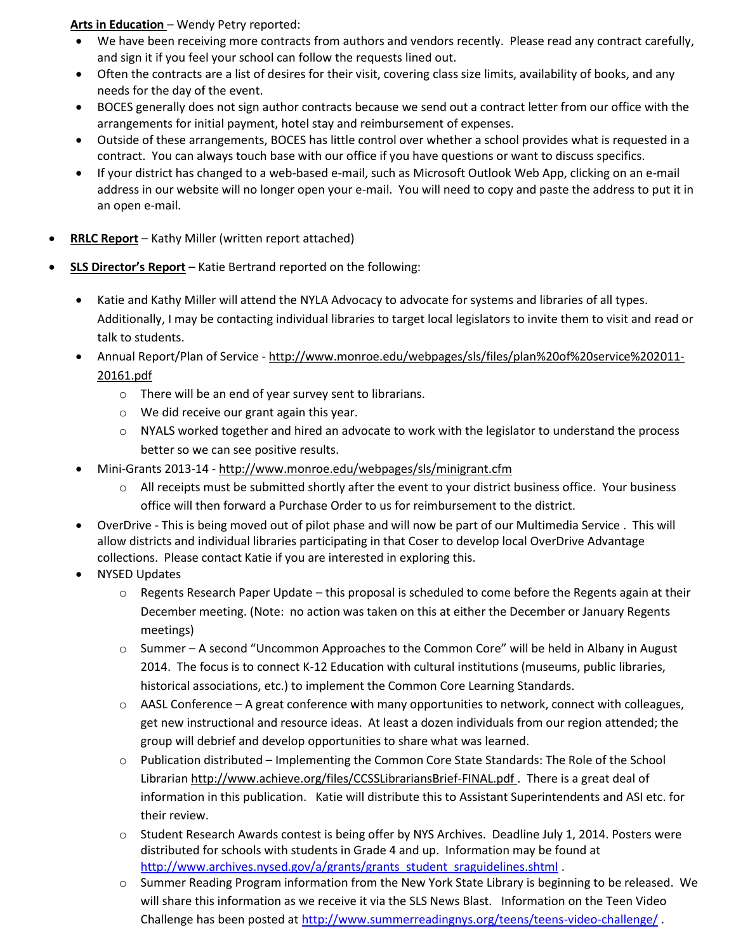**Arts in Education** – Wendy Petry reported:

- We have been receiving more contracts from authors and vendors recently. Please read any contract carefully, and sign it if you feel your school can follow the requests lined out.
- Often the contracts are a list of desires for their visit, covering class size limits, availability of books, and any needs for the day of the event.
- BOCES generally does not sign author contracts because we send out a contract letter from our office with the arrangements for initial payment, hotel stay and reimbursement of expenses.
- Outside of these arrangements, BOCES has little control over whether a school provides what is requested in a contract. You can always touch base with our office if you have questions or want to discuss specifics.
- If your district has changed to a web-based e-mail, such as Microsoft Outlook Web App, clicking on an e-mail address in our website will no longer open your e-mail. You will need to copy and paste the address to put it in an open e-mail.
- **RRLC Report** Kathy Miller (written report attached)
- **SLS Director's Report** Katie Bertrand reported on the following:
	- Katie and Kathy Miller will attend the NYLA Advocacy to advocate for systems and libraries of all types. Additionally, I may be contacting individual libraries to target local legislators to invite them to visit and read or talk to students.
	- Annual Report/Plan of Service [http://www.monroe.edu/webpages/sls/files/plan%20of%20service%202011-](http://www.monroe.edu/webpages/sls/files/plan%20of%20service%202011-20161.pdf) [20161.pdf](http://www.monroe.edu/webpages/sls/files/plan%20of%20service%202011-20161.pdf)
		- o There will be an end of year survey sent to librarians.
		- o We did receive our grant again this year.
		- $\circ$  NYALS worked together and hired an advocate to work with the legislator to understand the process better so we can see positive results.
	- Mini-Grants 2013-14 <http://www.monroe.edu/webpages/sls/minigrant.cfm>
		- $\circ$  All receipts must be submitted shortly after the event to your district business office. Your business office will then forward a Purchase Order to us for reimbursement to the district.
	- OverDrive This is being moved out of pilot phase and will now be part of our Multimedia Service . This will allow districts and individual libraries participating in that Coser to develop local OverDrive Advantage collections. Please contact Katie if you are interested in exploring this.
	- NYSED Updates
		- $\circ$  Regents Research Paper Update this proposal is scheduled to come before the Regents again at their December meeting. (Note: no action was taken on this at either the December or January Regents meetings)
		- o Summer A second "Uncommon Approaches to the Common Core" will be held in Albany in August 2014. The focus is to connect K-12 Education with cultural institutions (museums, public libraries, historical associations, etc.) to implement the Common Core Learning Standards.
		- $\circ$  AASL Conference A great conference with many opportunities to network, connect with colleagues, get new instructional and resource ideas. At least a dozen individuals from our region attended; the group will debrief and develop opportunities to share what was learned.
		- o Publication distributed Implementing the Common Core State Standards: The Role of the School Librarian<http://www.achieve.org/files/CCSSLibrariansBrief-FINAL.pdf>. There is a great deal of information in this publication. Katie will distribute this to Assistant Superintendents and ASI etc. for their review.
		- o Student Research Awards contest is being offer by NYS Archives. Deadline July 1, 2014. Posters were distributed for schools with students in Grade 4 and up. Information may be found at [http://www.archives.nysed.gov/a/grants/grants\\_student\\_sraguidelines.shtml](http://www.archives.nysed.gov/a/grants/grants_student_sraguidelines.shtml) .
		- o Summer Reading Program information from the New York State Library is beginning to be released. We will share this information as we receive it via the SLS News Blast. Information on the Teen Video Challenge has been posted at<http://www.summerreadingnys.org/teens/teens-video-challenge/> .